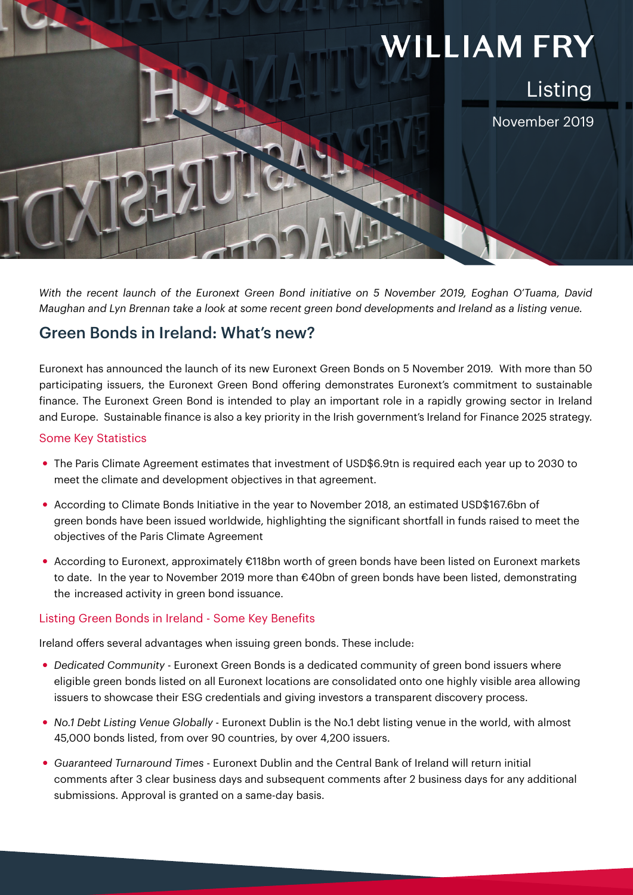# **WILLIAM FRY** Listing November 2019

*With the recent launch of the Euronext Green Bond initiative on 5 November 2019, Eoghan O'Tuama, David Maughan and Lyn Brennan take a look at some recent green bond developments and Ireland as a listing venue.*

### Green Bonds in Ireland: What's new?

Euronext has announced the launch of its new Euronext Green Bonds on 5 November 2019. With more than 50 participating issuers, the Euronext Green Bond offering demonstrates Euronext's commitment to sustainable finance. The Euronext Green Bond is intended to play an important role in a rapidly growing sector in Ireland and Europe. Sustainable finance is also a key priority in the Irish government's Ireland for Finance 2025 strategy.

#### Some Key Statistics

- The Paris Climate Agreement estimates that investment of USD\$6.9tn is required each year up to 2030 to meet the climate and development objectives in that agreement.
- According to Climate Bonds Initiative in the year to November 2018, an estimated USD\$167.6bn of green bonds have been issued worldwide, highlighting the significant shortfall in funds raised to meet the objectives of the Paris Climate Agreement
- According to Euronext, approximately €118bn worth of green bonds have been listed on Euronext markets to date. In the year to November 2019 more than €40bn of green bonds have been listed, demonstrating the increased activity in green bond issuance.

#### Listing Green Bonds in Ireland - Some Key Benefits

Ireland offers several advantages when issuing green bonds. These include:

- y *Dedicated Community*  Euronext Green Bonds is a dedicated community of green bond issuers where eligible green bonds listed on all Euronext locations are consolidated onto one highly visible area allowing issuers to showcase their ESG credentials and giving investors a transparent discovery process.
- y *No.1 Debt Listing Venue Globally*  Euronext Dublin is the No.1 debt listing venue in the world, with almost 45,000 bonds listed, from over 90 countries, by over 4,200 issuers.
- y *Guaranteed Turnaround Times*  Euronext Dublin and the Central Bank of Ireland will return initial comments after 3 clear business days and subsequent comments after 2 business days for any additional submissions. Approval is granted on a same-day basis.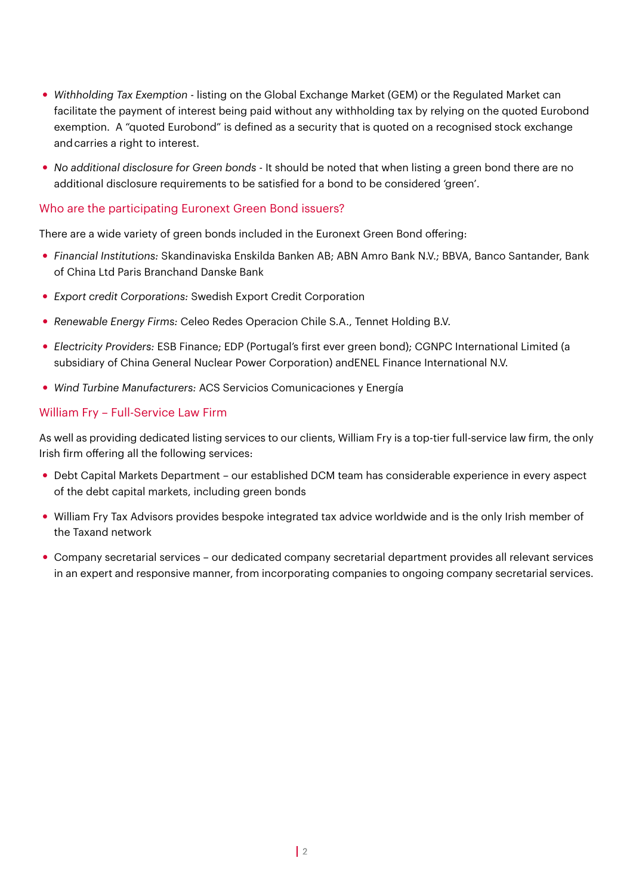- y *Withholding Tax Exemption*  listing on the Global Exchange Market (GEM) or the Regulated Market can facilitate the payment of interest being paid without any withholding tax by relying on the quoted Eurobond exemption. A "quoted Eurobond" is defined as a security that is quoted on a recognised stock exchange andcarries a right to interest.
- y *No additional disclosure for Green bonds -* It should be noted that when listing a green bond there are no additional disclosure requirements to be satisfied for a bond to be considered 'green'.

#### Who are the participating Euronext Green Bond issuers?

There are a wide variety of green bonds included in the Euronext Green Bond offering:

- y *Financial Institutions:* Skandinaviska Enskilda Banken AB; ABN Amro Bank N.V.; BBVA, Banco Santander, Bank of China Ltd Paris Branchand Danske Bank
- **Export credit Corporations: Swedish Export Credit Corporation**
- y *Renewable Energy Firms:* Celeo Redes Operacion Chile S.A., Tennet Holding B.V.
- y *Electricity Providers:* ESB Finance; EDP (Portugal's first ever green bond); CGNPC International Limited (a subsidiary of China General Nuclear Power Corporation) andENEL Finance International N.V.
- y *Wind Turbine Manufacturers:* ACS Servicios Comunicaciones y Energía

#### William Fry – Full-Service Law Firm

As well as providing dedicated listing services to our clients, William Fry is a top-tier full-service law firm, the only Irish firm offering all the following services:

- Debt Capital Markets Department our established DCM team has considerable experience in every aspect of the debt capital markets, including green bonds
- William Fry Tax Advisors provides bespoke integrated tax advice worldwide and is the only Irish member of the Taxand network
- y Company secretarial services our dedicated company secretarial department provides all relevant services in an expert and responsive manner, from incorporating companies to ongoing company secretarial services.